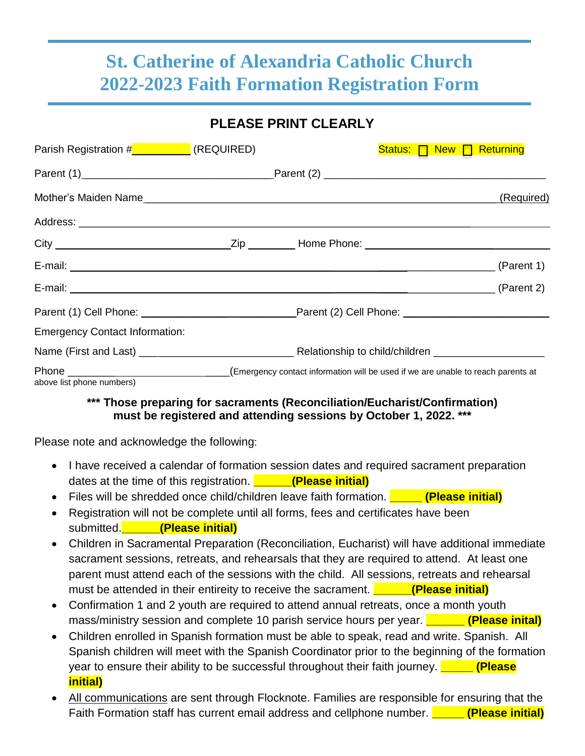## **St. Catherine of Alexandria Catholic Church 2022-2023 Faith Formation Registration Form**

### **PLEASE PRINT CLEARLY**

| Parish Registration # <b>William Parish Registration #William Parish Property</b> (REQUIRED) |  | Status: <b>New A</b> Returning |            |
|----------------------------------------------------------------------------------------------|--|--------------------------------|------------|
|                                                                                              |  |                                |            |
|                                                                                              |  |                                | (Required) |
|                                                                                              |  |                                |            |
|                                                                                              |  |                                |            |
|                                                                                              |  |                                |            |
| E-mail: (Parent 2)                                                                           |  |                                |            |
|                                                                                              |  |                                |            |
| <b>Emergency Contact Information:</b>                                                        |  |                                |            |
|                                                                                              |  |                                |            |
| above list phone numbers)                                                                    |  |                                |            |

#### **\*\*\* Those preparing for sacraments (Reconciliation/Eucharist/Confirmation) must be registered and attending sessions by October 1, 2022. \*\*\***

Please note and acknowledge the following:

- I have received a calendar of formation session dates and required sacrament preparation dates at the time of this registration. **\_\_\_\_\_\_(Please initial)**
- Files will be shredded once child/children leave faith formation. **\_\_\_\_\_ (Please initial)**
- Registration will not be complete until all forms, fees and certificates have been submitted.**\_\_\_\_\_\_(Please initial)**
- Children in Sacramental Preparation (Reconciliation, Eucharist) will have additional immediate sacrament sessions, retreats, and rehearsals that they are required to attend. At least one parent must attend each of the sessions with the child. All sessions, retreats and rehearsal must be attended in their entireity to receive the sacrament. **Please initial**
- Confirmation 1 and 2 youth are required to attend annual retreats, once a month youth mass/ministry session and complete 10 parish service hours per year. **\_\_\_\_\_\_ (Please inital)**
- Children enrolled in Spanish formation must be able to speak, read and write. Spanish. All Spanish children will meet with the Spanish Coordinator prior to the beginning of the formation year to ensure their ability to be successful throughout their faith journey. **\_\_\_\_\_ (Please initial)**
- All communications are sent through Flocknote. Families are responsible for ensuring that the Faith Formation staff has current email address and cellphone number. **\_\_\_\_\_ (Please initial)**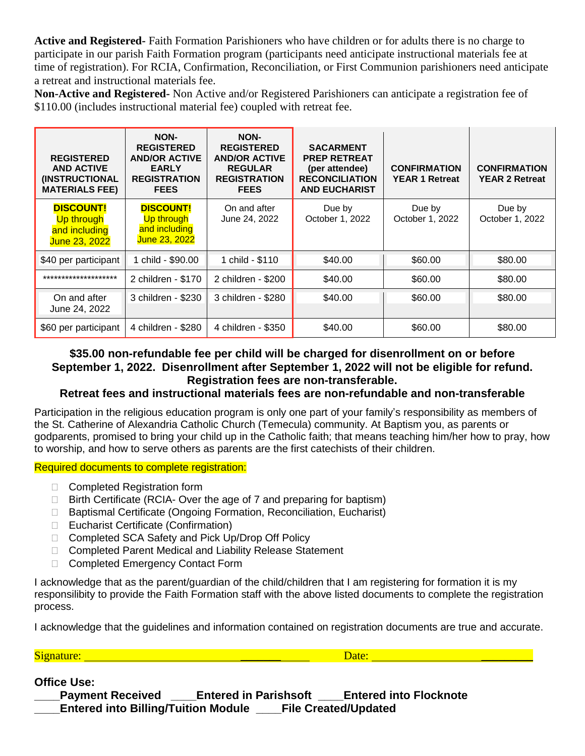**Active and Registered-** Faith Formation Parishioners who have children or for adults there is no charge to participate in our parish Faith Formation program (participants need anticipate instructional materials fee at time of registration). For RCIA, Confirmation, Reconciliation, or First Communion parishioners need anticipate a retreat and instructional materials fee.

**Non-Active and Registered-** Non Active and/or Registered Parishioners can anticipate a registration fee of \$110.00 (includes instructional material fee) coupled with retreat fee.

| <b>REGISTERED</b><br><b>AND ACTIVE</b><br><b>(INSTRUCTIONAL</b><br><b>MATERIALS FEE)</b> | NON-<br><b>REGISTERED</b><br><b>AND/OR ACTIVE</b><br><b>EARLY</b><br><b>REGISTRATION</b><br><b>FEES</b> | NON-<br><b>REGISTERED</b><br><b>AND/OR ACTIVE</b><br><b>REGULAR</b><br><b>REGISTRATION</b><br><b>FEES</b> | <b>SACARMENT</b><br><b>PREP RETREAT</b><br>(per attendee)<br><b>RECONCILIATION</b><br><b>AND EUCHARIST</b> | <b>CONFIRMATION</b><br><b>YEAR 1 Retreat</b> | <b>CONFIRMATION</b><br><b>YEAR 2 Retreat</b> |
|------------------------------------------------------------------------------------------|---------------------------------------------------------------------------------------------------------|-----------------------------------------------------------------------------------------------------------|------------------------------------------------------------------------------------------------------------|----------------------------------------------|----------------------------------------------|
| <b>DISCOUNT!</b><br>Up through<br>and including<br>June 23, 2022                         | <b>DISCOUNT!</b><br>Up through<br>and including<br>June 23, 2022                                        | On and after<br>June 24, 2022                                                                             | Due by<br>October 1, 2022                                                                                  | Due by<br>October 1, 2022                    | Due by<br>October 1, 2022                    |
| \$40 per participant                                                                     | 1 child - \$90.00                                                                                       | 1 child - \$110                                                                                           | \$40.00                                                                                                    | \$60.00                                      | \$80.00                                      |
| ********************                                                                     | 2 children - \$170                                                                                      | 2 children - \$200                                                                                        | \$40.00                                                                                                    | \$60.00                                      | \$80.00                                      |
| On and after<br>June 24, 2022                                                            | 3 children - \$230                                                                                      | 3 children - \$280                                                                                        | \$40.00                                                                                                    | \$60.00                                      | \$80.00                                      |
| \$60 per participant                                                                     | 4 children - \$280                                                                                      | 4 children - \$350                                                                                        | \$40.00                                                                                                    | \$60.00                                      | \$80.00                                      |

#### **\$35.00 non-refundable fee per child will be charged for disenrollment on or before September 1, 2022. Disenrollment after September 1, 2022 will not be eligible for refund. Registration fees are non-transferable.**

#### **Retreat fees and instructional materials fees are non-refundable and non-transferable**

Participation in the religious education program is only one part of your family's responsibility as members of the St. Catherine of Alexandria Catholic Church (Temecula) community. At Baptism you, as parents or godparents, promised to bring your child up in the Catholic faith; that means teaching him/her how to pray, how to worship, and how to serve others as parents are the first catechists of their children.

#### Required documents to complete registration:

- □ Completed Registration form
- $\Box$  Birth Certificate (RCIA-Over the age of 7 and preparing for baptism)
- □ Baptismal Certificate (Ongoing Formation, Reconciliation, Eucharist)
- □ Eucharist Certificate (Confirmation)
- □ Completed SCA Safety and Pick Up/Drop Off Policy
- □ Completed Parent Medical and Liability Release Statement
- □ Completed Emergency Contact Form

I acknowledge that as the parent/guardian of the child/children that I am registering for formation it is my responsilibity to provide the Faith Formation staff with the above listed documents to complete the registration process.

I acknowledge that the guidelines and information contained on registration documents are true and accurate.

Signature: \_\_\_\_\_\_\_ Date: \_\_\_\_\_\_\_\_\_

#### **Office Use:**

| <b>Payment Received</b>                    | <b>Entered in Parishsoft</b> | <b>Entered into Flocknote</b> |
|--------------------------------------------|------------------------------|-------------------------------|
| <b>Entered into Billing/Tuition Module</b> |                              | <b>File Created/Updated</b>   |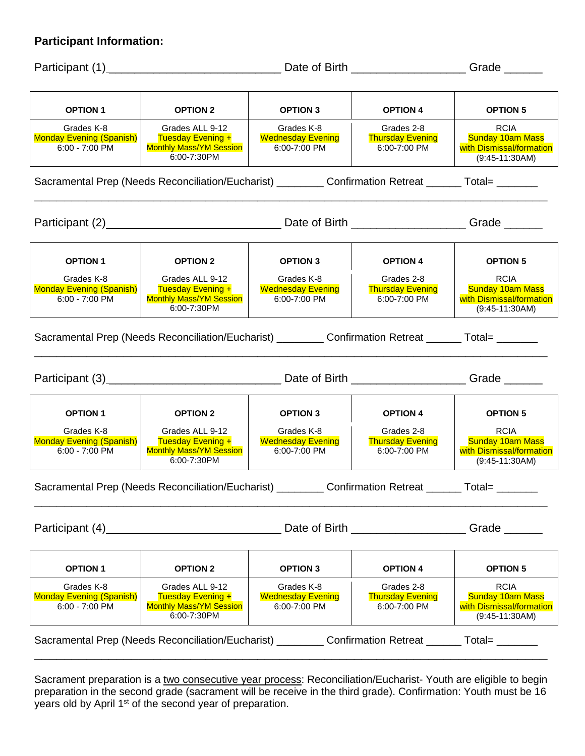#### **Participant Information:**

Participant (1) \_\_\_\_\_\_\_\_\_\_\_\_\_\_\_\_\_\_\_\_\_\_\_\_\_\_\_ Date of Birth \_\_\_\_\_\_\_\_\_\_\_\_\_\_\_\_\_\_ Grade \_\_\_\_\_\_ **OPTION 1 OPTION 2 OPTION 3 OPTION 4 OPTION 5** Grades K-8 Monday Evening (Spanish) 6:00 - 7:00 PM Grades ALL 9-12 Tuesday Evening + Monthly Mass/YM Session 6:00-7:30PM Grades K-8 Wednesday Evening 6:00-7:00 PM Grades 2-8 Thursday Evening 6:00-7:00 PM RCIA Sunday 10am Mass with Dismissal/formation (9:45-11:30AM) Sacramental Prep (Needs Reconciliation/Eucharist) \_\_\_\_\_\_\_\_\_ Confirmation Retreat \_\_\_\_\_\_ Total= **\_\_\_\_\_\_\_\_\_\_\_\_\_\_\_\_\_\_\_\_\_\_\_\_\_\_\_\_\_\_\_\_\_\_\_\_\_\_\_\_\_\_\_\_\_\_\_\_\_\_\_\_\_\_\_\_\_\_\_\_\_\_\_\_\_\_\_\_\_** Participant (2) \_\_\_\_\_\_\_\_\_\_\_\_\_\_\_\_\_\_\_\_\_\_\_\_\_\_\_\_\_\_\_\_\_\_Date of Birth \_\_\_\_\_\_\_\_\_\_\_\_\_\_\_\_\_\_\_\_Grade \_\_\_\_\_\_\_\_\_ **OPTION 1 OPTION 2 OPTION 3 OPTION 4 OPTION 5** Grades K-8 Monday Evening (Spanish) 6:00 - 7:00 PM Grades ALL 9-12 Tuesday Evening + Monthly Mass/YM Session 6:00-7:30PM Grades K-8 Wednesday Evening 6:00-7:00 PM Grades 2-8 **Thursday Evening** 6:00-7:00 PM RCIA Sunday 10am Mass with Dismissal/formation (9:45-11:30AM) Sacramental Prep (Needs Reconciliation/Eucharist) **Confirmation Retreat** Total= **\_\_\_\_\_\_\_\_\_\_\_\_\_\_\_\_\_\_\_\_\_\_\_\_\_\_\_\_\_\_\_\_\_\_\_\_\_\_\_\_\_\_\_\_\_\_\_\_\_\_\_\_\_\_\_\_\_\_\_\_\_\_\_\_\_\_\_\_\_** Participant (3) \_\_\_\_\_\_\_\_\_\_\_\_\_\_\_\_\_\_\_\_\_\_\_\_\_\_\_ Date of Birth \_\_\_\_\_\_\_\_\_\_\_\_\_\_\_\_\_\_ Grade \_\_\_\_\_\_ **OPTION 1 OPTION 2 OPTION 3 OPTION 4 OPTION 5** Grades K-8 Monday Evening (Spanish) 6:00 - 7:00 PM Grades ALL 9-12 Tuesday Evening + Monthly Mass/YM Session 6:00-7:30PM Grades K-8 Wednesday Evening 6:00-7:00 PM Grades 2-8 Thursday Evening 6:00-7:00 PM RCIA Sunday 10am Mass with Dismissal/formation (9:45-11:30AM) Sacramental Prep (Needs Reconciliation/Eucharist) \_\_\_\_\_\_\_\_\_ Confirmation Retreat \_\_\_\_\_\_ Total= \_\_\_\_\_\_\_ **\_\_\_\_\_\_\_\_\_\_\_\_\_\_\_\_\_\_\_\_\_\_\_\_\_\_\_\_\_\_\_\_\_\_\_\_\_\_\_\_\_\_\_\_\_\_\_\_\_\_\_\_\_\_\_\_\_\_\_\_\_\_\_\_\_\_\_\_\_** Participant (4) **Date of Birth**  $\Box$  Date of Birth  $\Box$  Grade  $\Box$ **OPTION 1 OPTION 2 OPTION 3 OPTION 4 OPTION 5** Grades K-8 Monday Evening (Spanish) 6:00 - 7:00 PM Grades ALL 9-12 Tuesday Evening + Monthly Mass/YM Session 6:00-7:30PM Grades K-8 Wednesday Evening 6:00-7:00 PM Grades 2-8 **Thursday Evening** 6:00-7:00 PM RCIA Sunday 10am Mass with Dismissal/formation (9:45-11:30AM) Sacramental Prep (Needs Reconciliation/Eucharist) \_\_\_\_\_\_\_\_\_ Confirmation Retreat \_\_\_\_\_\_\_ Total= \_\_\_\_\_\_\_ **\_\_\_\_\_\_\_\_\_\_\_\_\_\_\_\_\_\_\_\_\_\_\_\_\_\_\_\_\_\_\_\_\_\_\_\_\_\_\_\_\_\_\_\_\_\_\_\_\_\_\_\_\_\_\_\_\_\_\_\_\_\_\_\_\_\_\_\_\_**

Sacrament preparation is a two consecutive year process: Reconciliation/Eucharist- Youth are eligible to begin preparation in the second grade (sacrament will be receive in the third grade). Confirmation: Youth must be 16 years old by April 1<sup>st</sup> of the second year of preparation.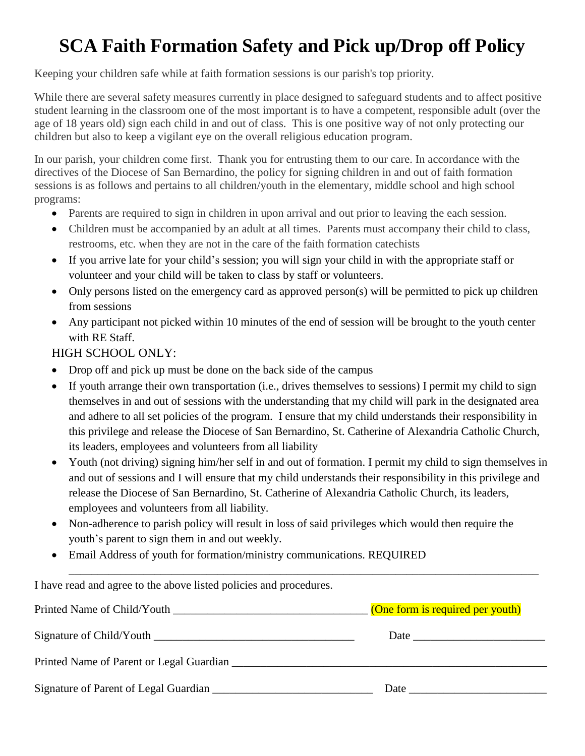# **SCA Faith Formation Safety and Pick up/Drop off Policy**

Keeping your children safe while at faith formation sessions is our parish's top priority.

While there are several safety measures currently in place designed to safeguard students and to affect positive student learning in the classroom one of the most important is to have a competent, responsible adult (over the age of 18 years old) sign each child in and out of class. This is one positive way of not only protecting our children but also to keep a vigilant eye on the overall religious education program.

In our parish, your children come first. Thank you for entrusting them to our care. In accordance with the directives of the Diocese of San Bernardino, the policy for signing children in and out of faith formation sessions is as follows and pertains to all children/youth in the elementary, middle school and high school programs:

- Parents are required to sign in children in upon arrival and out prior to leaving the each session.
- Children must be accompanied by an adult at all times. Parents must accompany their child to class, restrooms, etc. when they are not in the care of the faith formation catechists
- If you arrive late for your child's session; you will sign your child in with the appropriate staff or volunteer and your child will be taken to class by staff or volunteers.
- Only persons listed on the emergency card as approved person(s) will be permitted to pick up children from sessions
- Any participant not picked within 10 minutes of the end of session will be brought to the youth center with RE Staff.

#### HIGH SCHOOL ONLY:

- Drop off and pick up must be done on the back side of the campus
- If youth arrange their own transportation (i.e., drives themselves to sessions) I permit my child to sign themselves in and out of sessions with the understanding that my child will park in the designated area and adhere to all set policies of the program. I ensure that my child understands their responsibility in this privilege and release the Diocese of San Bernardino, St. Catherine of Alexandria Catholic Church, its leaders, employees and volunteers from all liability
- Youth (not driving) signing him/her self in and out of formation. I permit my child to sign themselves in and out of sessions and I will ensure that my child understands their responsibility in this privilege and release the Diocese of San Bernardino, St. Catherine of Alexandria Catholic Church, its leaders, employees and volunteers from all liability.

\_\_\_\_\_\_\_\_\_\_\_\_\_\_\_\_\_\_\_\_\_\_\_\_\_\_\_\_\_\_\_\_\_\_\_\_\_\_\_\_\_\_\_\_\_\_\_\_\_\_\_\_\_\_\_\_\_\_\_\_\_\_\_\_\_\_\_\_\_\_\_\_\_\_\_\_\_\_\_\_\_\_

- Non-adherence to parish policy will result in loss of said privileges which would then require the youth's parent to sign them in and out weekly.
- Email Address of youth for formation/ministry communications. REQUIRED

I have read and agree to the above listed policies and procedures.

| Printed Name of Child/Youth              | (One form is required per youth)                                                                                                                                                                                              |
|------------------------------------------|-------------------------------------------------------------------------------------------------------------------------------------------------------------------------------------------------------------------------------|
| Signature of Child/Youth                 | Date and the same state of the same state of the same state of the same state of the same state of the same state of the same state of the same state of the same state of the same state of the same state of the same state |
| Printed Name of Parent or Legal Guardian |                                                                                                                                                                                                                               |
| Signature of Parent of Legal Guardian    | Date                                                                                                                                                                                                                          |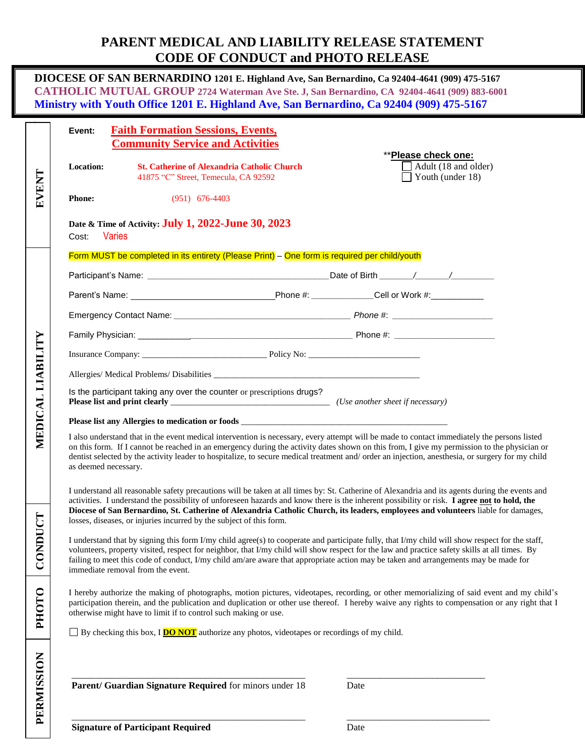## **PARENT MEDICAL AND LIABILITY RELEASE STATEMENT CODE OF CONDUCT and PHOTO RELEASE**

|                   | DIOCESE OF SAN BERNARDINO 1201 E. Highland Ave, San Bernardino, Ca 92404-4641 (909) 475-5167<br>CATHOLIC MUTUAL GROUP 2724 Waterman Ave Ste. J, San Bernardino, CA 92404-4641 (909) 883-6001<br>Ministry with Youth Office 1201 E. Highland Ave, San Bernardino, Ca 92404 (909) 475-5167                                                                                                                                                                                                                  |  |  |  |  |
|-------------------|-----------------------------------------------------------------------------------------------------------------------------------------------------------------------------------------------------------------------------------------------------------------------------------------------------------------------------------------------------------------------------------------------------------------------------------------------------------------------------------------------------------|--|--|--|--|
| <b>EVENT</b>      | <b>Faith Formation Sessions, Events,</b><br>Event:<br><b>Community Service and Activities</b><br>**Please check one:<br>Adult (18 and older)<br>Location:<br><b>St. Catherine of Alexandria Catholic Church</b><br>Youth (under 18)<br>41875 "C" Street, Temecula, CA 92592                                                                                                                                                                                                                               |  |  |  |  |
|                   | <b>Phone:</b><br>$(951)$ 676-4403                                                                                                                                                                                                                                                                                                                                                                                                                                                                         |  |  |  |  |
|                   | Date & Time of Activity: <b>July 1, 2022-June 30, 2023</b><br><b>Varies</b><br>Cost:                                                                                                                                                                                                                                                                                                                                                                                                                      |  |  |  |  |
|                   | Form MUST be completed in its entirety (Please Print) - One form is required per child/youth                                                                                                                                                                                                                                                                                                                                                                                                              |  |  |  |  |
|                   |                                                                                                                                                                                                                                                                                                                                                                                                                                                                                                           |  |  |  |  |
|                   |                                                                                                                                                                                                                                                                                                                                                                                                                                                                                                           |  |  |  |  |
|                   |                                                                                                                                                                                                                                                                                                                                                                                                                                                                                                           |  |  |  |  |
|                   |                                                                                                                                                                                                                                                                                                                                                                                                                                                                                                           |  |  |  |  |
|                   |                                                                                                                                                                                                                                                                                                                                                                                                                                                                                                           |  |  |  |  |
|                   |                                                                                                                                                                                                                                                                                                                                                                                                                                                                                                           |  |  |  |  |
| MEDICAL LIABILITY | Is the participant taking any over the counter or prescriptions drugs?                                                                                                                                                                                                                                                                                                                                                                                                                                    |  |  |  |  |
|                   |                                                                                                                                                                                                                                                                                                                                                                                                                                                                                                           |  |  |  |  |
|                   | I also understand that in the event medical intervention is necessary, every attempt will be made to contact immediately the persons listed<br>on this form. If I cannot be reached in an emergency during the activity dates shown on this from, I give my permission to the physician or<br>dentist selected by the activity leader to hospitalize, to secure medical treatment and/order an injection, anesthesia, or surgery for my child<br>as deemed necessary.                                     |  |  |  |  |
|                   | I understand all reasonable safety precautions will be taken at all times by: St. Catherine of Alexandria and its agents during the events and<br>activities. I understand the possibility of unforeseen hazards and know there is the inherent possibility or risk. I agree not to hold, the<br>Diocese of San Bernardino, St. Catherine of Alexandria Catholic Church, its leaders, employees and volunteers liable for damages,<br>losses, diseases, or injuries incurred by the subject of this form. |  |  |  |  |
| CONDUCT           | I understand that by signing this form I/my child agree(s) to cooperate and participate fully, that I/my child will show respect for the staff,<br>volunteers, property visited, respect for neighbor, that I/my child will show respect for the law and practice safety skills at all times. By<br>failing to meet this code of conduct, I/my child am/are aware that appropriate action may be taken and arrangements may be made for<br>immediate removal from the event.                              |  |  |  |  |
| <b>PHOTO</b>      | I hereby authorize the making of photographs, motion pictures, videotapes, recording, or other memorializing of said event and my child's<br>participation therein, and the publication and duplication or other use thereof. I hereby waive any rights to compensation or any right that I<br>otherwise might have to limit if to control such making or use.<br>$\Box$ By checking this box, I <b>DO NOT</b> authorize any photos, videotapes or recordings of my child.                                |  |  |  |  |
| PERMISSION        | Parent/ Guardian Signature Required for minors under 18<br>Date                                                                                                                                                                                                                                                                                                                                                                                                                                           |  |  |  |  |
|                   | f Deutschend Desetued                                                                                                                                                                                                                                                                                                                                                                                                                                                                                     |  |  |  |  |